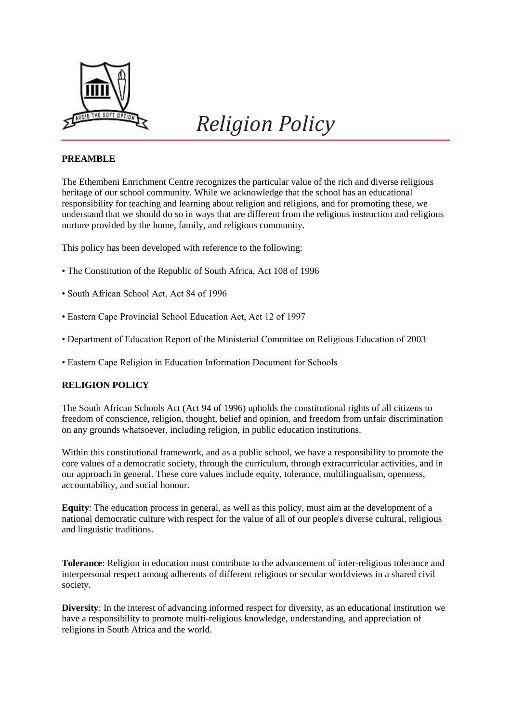

# *Religion Policy*

# **PREAMBLE**

The Ethembeni Enrichment Centre recognizes the particular value of the rich and diverse religious heritage of our school community. While we acknowledge that the school has an educational responsibility for teaching and learning about religion and religions, and for promoting these, we understand that we should do so in ways that are different from the religious instruction and religious nurture provided by the home, family, and religious community.

This policy has been developed with reference to the following:

- The Constitution of the Republic of South Africa, Act 108 of 1996
- South African School Act, Act 84 of 1996
- Eastern Cape Provincial School Education Act, Act 12 of 1997
- Department of Education Report of the Ministerial Committee on Religious Education of 2003
- Eastern Cape Religion in Education Information Document for Schools

### **RELIGION POLICY**

The South African Schools Act (Act 94 of 1996) upholds the constitutional rights of all citizens to freedom of conscience, religion, thought, belief and opinion, and freedom from unfair discrimination on any grounds whatsoever, including religion, in public education institutions.

Within this constitutional framework, and as a public school, we have a responsibility to promote the core values of a democratic society, through the curriculum, through extracurricular activities, and in our approach in general. These core values include equity, tolerance, multilingualism, openness, accountability, and social honour.

**Equity**: The education process in general, as well as this policy, must aim at the development of a national democratic culture with respect for the value of all of our people's diverse cultural, religious and linguistic traditions.

**Tolerance**: Religion in education must contribute to the advancement of inter-religious tolerance and interpersonal respect among adherents of different religious or secular worldviews in a shared civil society.

**Diversity**: In the interest of advancing informed respect for diversity, as an educational institution we have a responsibility to promote multi-religious knowledge, understanding, and appreciation of religions in South Africa and the world.